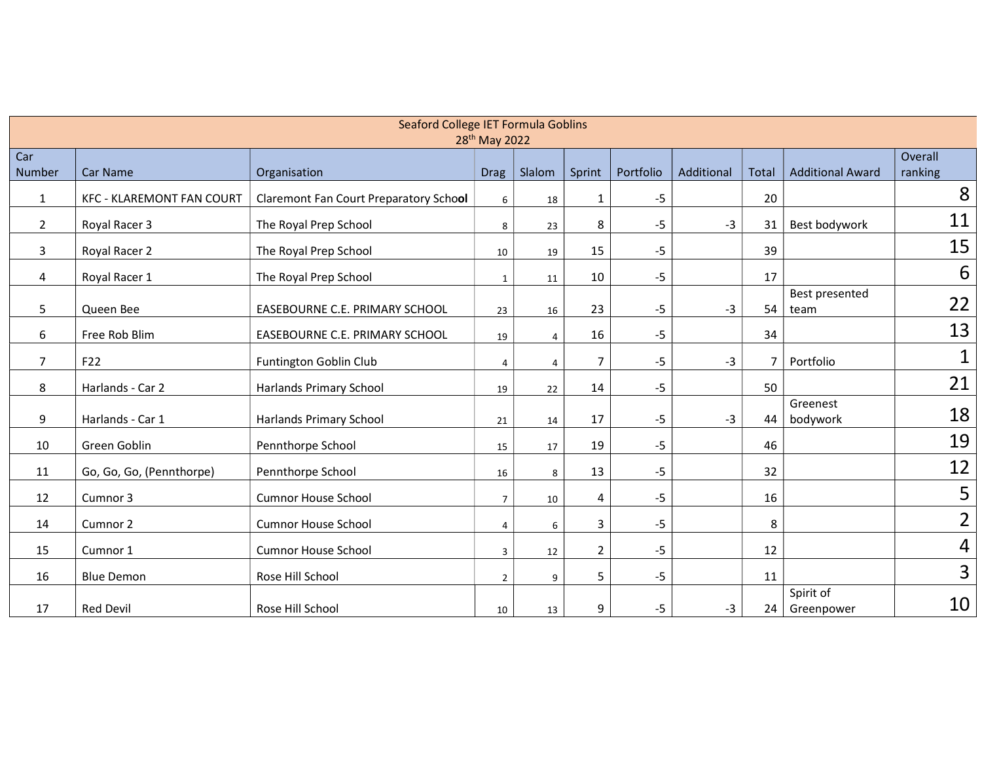| Seaford College IET Formula Goblins<br>28 <sup>th</sup> May 2022 |                                  |                                               |                  |                |                |           |            |       |                         |                    |
|------------------------------------------------------------------|----------------------------------|-----------------------------------------------|------------------|----------------|----------------|-----------|------------|-------|-------------------------|--------------------|
| Car<br>Number                                                    | <b>Car Name</b>                  | Organisation                                  | <b>Drag</b>      | Slalom         | Sprint         | Portfolio | Additional | Total | <b>Additional Award</b> | Overall<br>ranking |
| $\mathbf{1}$                                                     | <b>KFC - KLAREMONT FAN COURT</b> | <b>Claremont Fan Court Preparatory School</b> | $\boldsymbol{6}$ | 18             | $\mathbf{1}$   | $-5$      |            | 20    |                         | 8                  |
| $\overline{2}$                                                   | Royal Racer 3                    | The Royal Prep School                         | 8                | 23             | 8              | $-5$      | $-3$       | 31    | Best bodywork           | 11                 |
| 3                                                                | Royal Racer 2                    | The Royal Prep School                         | 10               | 19             | 15             | $-5$      |            | 39    |                         | 15                 |
| 4                                                                | Royal Racer 1                    | The Royal Prep School                         | $\mathbf{1}$     | 11             | 10             | -5        |            | 17    |                         | 6                  |
| 5                                                                | Queen Bee                        | EASEBOURNE C.E. PRIMARY SCHOOL                | 23               | 16             | 23             | $-5$      | $-3$       | 54    | Best presented<br>team  | 22                 |
| 6                                                                | Free Rob Blim                    | EASEBOURNE C.E. PRIMARY SCHOOL                | 19               | $\overline{4}$ | 16             | $-5$      |            | 34    |                         | 13                 |
| $\overline{7}$                                                   | F22                              | Funtington Goblin Club                        | $\overline{4}$   | $\overline{4}$ | 7              | $-5$      | -3         | 7     | Portfolio               | $\mathbf{1}$       |
| 8                                                                | Harlands - Car 2                 | Harlands Primary School                       | 19               | 22             | 14             | $-5$      |            | 50    |                         | 21                 |
| 9                                                                | Harlands - Car 1                 | Harlands Primary School                       | 21               | 14             | 17             | $-5$      | $-3$       | 44    | Greenest<br>bodywork    | 18                 |
| 10                                                               | Green Goblin                     | Pennthorpe School                             | 15               | 17             | 19             | -5        |            | 46    |                         | 19                 |
| 11                                                               | Go, Go, Go, (Pennthorpe)         | Pennthorpe School                             | 16               | 8              | 13             | $-5$      |            | 32    |                         | 12                 |
| 12                                                               | Cumnor 3                         | <b>Cumnor House School</b>                    | $\overline{7}$   | 10             | 4              | $-5$      |            | 16    |                         | 5                  |
| 14                                                               | Cumnor 2                         | <b>Cumnor House School</b>                    | 4                | 6              | 3              | $-5$      |            | 8     |                         | $\overline{2}$     |
| 15                                                               | Cumnor 1                         | <b>Cumnor House School</b>                    | $\mathbf{3}$     | 12             | $\overline{2}$ | $-5$      |            | 12    |                         | $\overline{4}$     |
| 16                                                               | <b>Blue Demon</b>                | Rose Hill School                              | $\overline{2}$   | 9              | 5              | $-5$      |            | 11    |                         | 3                  |
| 17                                                               | <b>Red Devil</b>                 | Rose Hill School                              | 10               | 13             | 9              | -5        | $-3$       | 24    | Spirit of<br>Greenpower | 10                 |